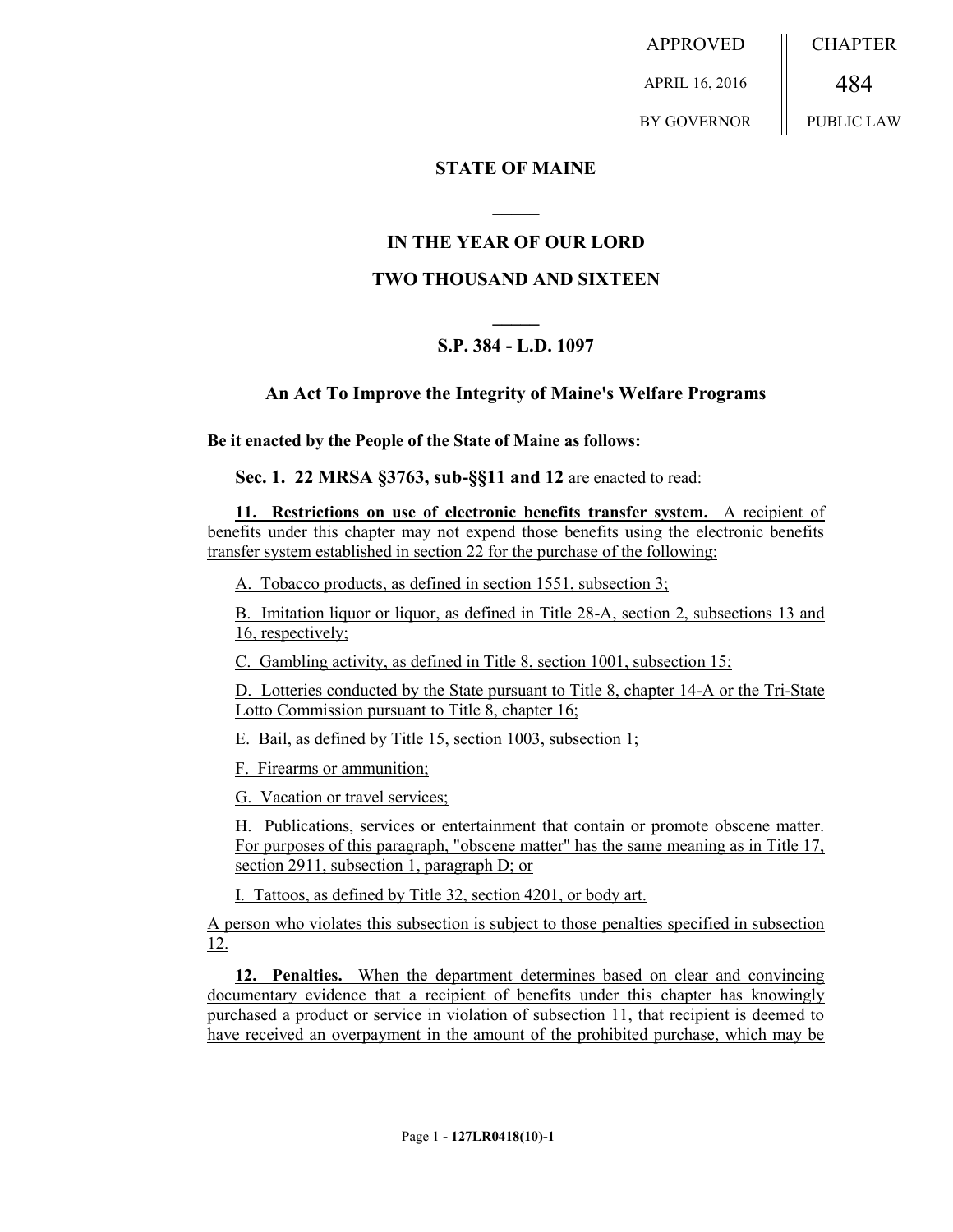APPROVED APRIL 16, 2016 BY GOVERNOR **CHAPTER** 484 PUBLIC LAW

**STATE OF MAINE**

## **IN THE YEAR OF OUR LORD**

**\_\_\_\_\_**

## **TWO THOUSAND AND SIXTEEN**

## **\_\_\_\_\_ S.P. 384 - L.D. 1097**

## **An Act To Improve the Integrity of Maine's Welfare Programs**

**Be it enacted by the People of the State of Maine as follows:**

**Sec. 1. 22 MRSA §3763, sub-§§11 and 12** are enacted to read:

**11. Restrictions on use of electronic benefits transfer system.** A recipient of benefits under this chapter may not expend those benefits using the electronic benefits transfer system established in section 22 for the purchase of the following:

A. Tobacco products, as defined in section 1551, subsection 3;

B. Imitation liquor or liquor, as defined in Title 28-A, section 2, subsections 13 and 16, respectively;

C. Gambling activity, as defined in Title 8, section 1001, subsection 15;

D. Lotteries conducted by the State pursuant to Title 8, chapter 14-A or the Tri-State Lotto Commission pursuant to Title 8, chapter 16;

E. Bail, as defined by Title 15, section 1003, subsection 1;

F. Firearms or ammunition;

G. Vacation or travel services;

H. Publications, services or entertainment that contain or promote obscene matter. For purposes of this paragraph, "obscene matter" has the same meaning as in Title 17, section 2911, subsection 1, paragraph D; or

I. Tattoos, as defined by Title 32, section 4201, or body art.

A person who violates this subsection is subject to those penalties specified in subsection 12.

**12. Penalties.** When the department determines based on clear and convincing documentary evidence that a recipient of benefits under this chapter has knowingly purchased a product or service in violation of subsection 11, that recipient is deemed to have received an overpayment in the amount of the prohibited purchase, which may be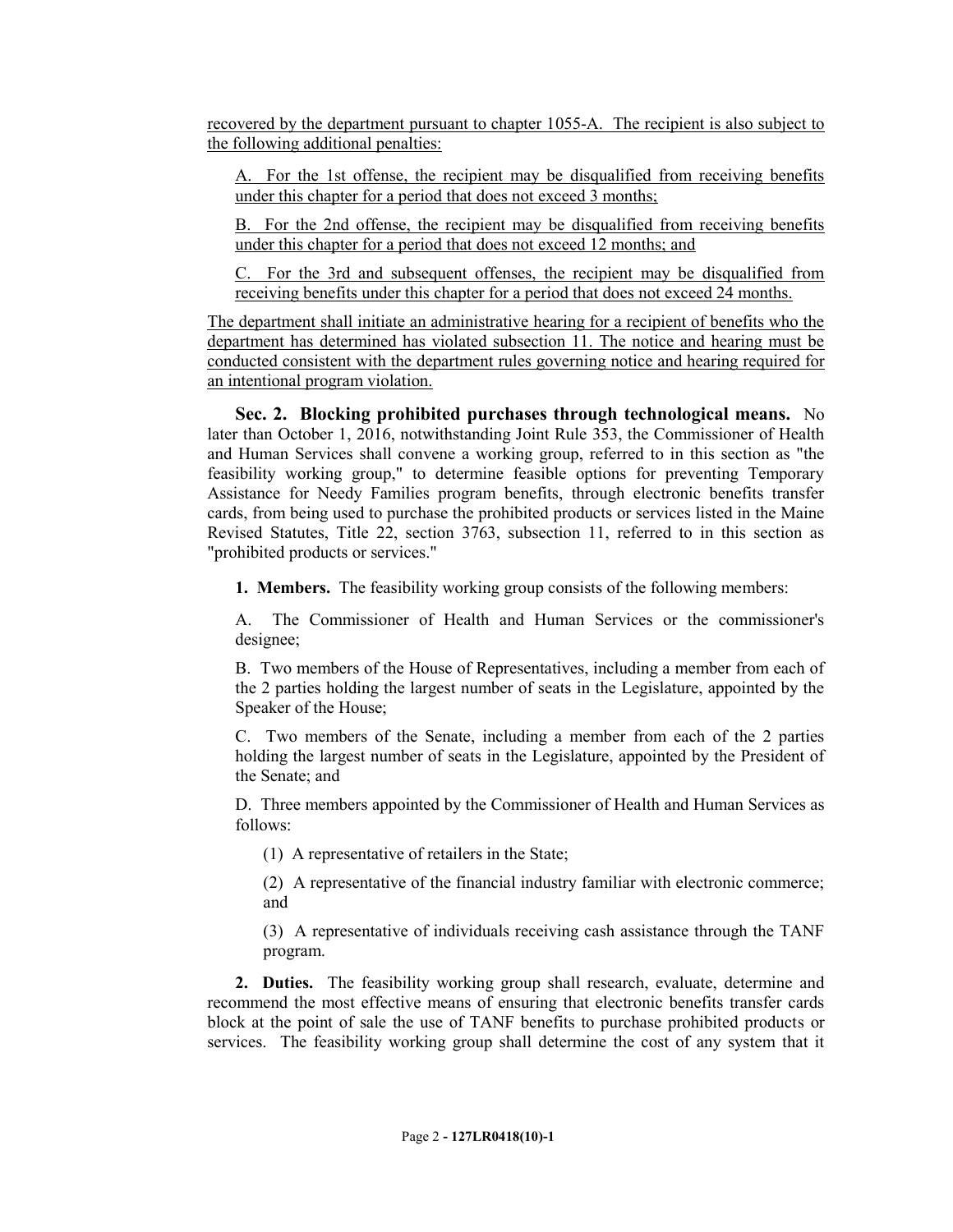recovered by the department pursuant to chapter 1055-A. The recipient is also subject to the following additional penalties:

A. For the 1st offense, the recipient may be disqualified from receiving benefits under this chapter for a period that does not exceed 3 months;

B. For the 2nd offense, the recipient may be disqualified from receiving benefits under this chapter for a period that does not exceed 12 months; and

C. For the 3rd and subsequent offenses, the recipient may be disqualified from receiving benefits under this chapter for a period that does not exceed 24 months.

The department shall initiate an administrative hearing for a recipient of benefits who the department has determined has violated subsection 11. The notice and hearing must be conducted consistent with the department rules governing notice and hearing required for an intentional program violation.

**Sec. 2. Blocking prohibited purchases through technological means.** No later than October 1, 2016, notwithstanding Joint Rule 353, the Commissioner of Health and Human Services shall convene a working group, referred to in this section as "the feasibility working group," to determine feasible options for preventing Temporary Assistance for Needy Families program benefits, through electronic benefits transfer cards, from being used to purchase the prohibited products or services listed in the Maine Revised Statutes, Title 22, section 3763, subsection 11, referred to in this section as "prohibited products or services."

**1. Members.** The feasibility working group consists of the following members:

A. The Commissioner of Health and Human Services or the commissioner's designee;

B. Two members of the House of Representatives, including a member from each of the 2 parties holding the largest number of seats in the Legislature, appointed by the Speaker of the House;

C. Two members of the Senate, including a member from each of the 2 parties holding the largest number of seats in the Legislature, appointed by the President of the Senate; and

D. Three members appointed by the Commissioner of Health and Human Services as follows:

(1) A representative of retailers in the State;

(2) A representative of the financial industry familiar with electronic commerce; and

(3) A representative of individuals receiving cash assistance through the TANF program.

**2. Duties.** The feasibility working group shall research, evaluate, determine and recommend the most effective means of ensuring that electronic benefits transfer cards block at the point of sale the use of TANF benefits to purchase prohibited products or services. The feasibility working group shall determine the cost of any system that it